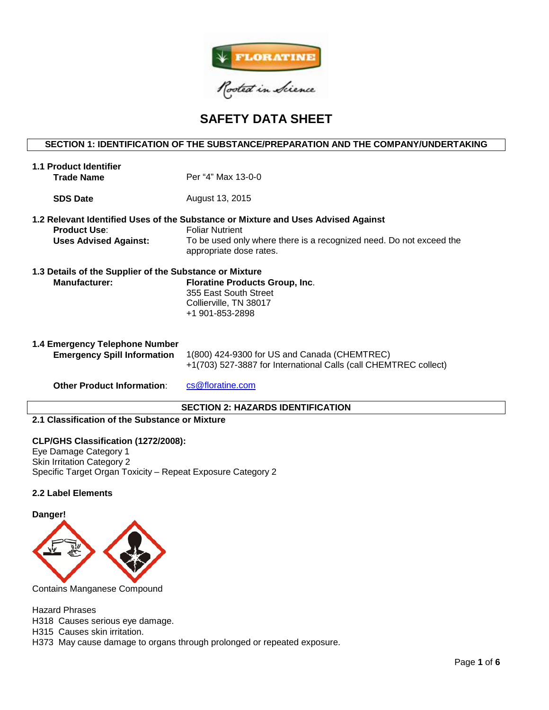

# **SAFETY DATA SHEET**

# **SECTION 1: IDENTIFICATION OF THE SUBSTANCE/PREPARATION AND THE COMPANY/UNDERTAKING**

| <b>1.1 Product Identifier</b><br><b>Trade Name</b>                              | Per "4" Max 13-0-0                                                                                                                                                                                            |
|---------------------------------------------------------------------------------|---------------------------------------------------------------------------------------------------------------------------------------------------------------------------------------------------------------|
| <b>SDS Date</b>                                                                 | August 13, 2015                                                                                                                                                                                               |
| <b>Product Use:</b><br><b>Uses Advised Against:</b>                             | 1.2 Relevant Identified Uses of the Substance or Mixture and Uses Advised Against<br><b>Foliar Nutrient</b><br>To be used only where there is a recognized need. Do not exceed the<br>appropriate dose rates. |
| 1.3 Details of the Supplier of the Substance or Mixture<br><b>Manufacturer:</b> | <b>Floratine Products Group, Inc.</b><br>355 East South Street<br>Collierville, TN 38017<br>+1 901-853-2898                                                                                                   |
| 1.4 Emergency Telephone Number<br><b>Emergency Spill Information</b>            | 1(800) 424-9300 for US and Canada (CHEMTREC)<br>+1(703) 527-3887 for International Calls (call CHEMTREC collect)                                                                                              |
| <b>Other Product Information:</b>                                               | cs@floratine.com                                                                                                                                                                                              |

### **SECTION 2: HAZARDS IDENTIFICATION**

# **2.1 Classification of the Substance or Mixture**

### **CLP/GHS Classification (1272/2008):**

Eye Damage Category 1 Skin Irritation Category 2 Specific Target Organ Toxicity – Repeat Exposure Category 2

# **2.2 Label Elements**

#### **Danger!**



Contains Manganese Compound

Hazard Phrases

H318 Causes serious eye damage.

H315 Causes skin irritation.

H373 May cause damage to organs through prolonged or repeated exposure.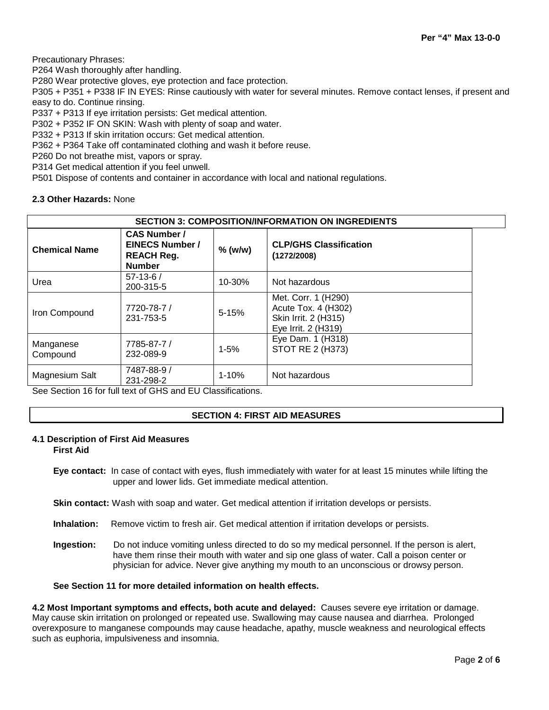Precautionary Phrases:

P264 Wash thoroughly after handling.

P280 Wear protective gloves, eye protection and face protection.

P305 + P351 + P338 IF IN EYES: Rinse cautiously with water for several minutes. Remove contact lenses, if present and easy to do. Continue rinsing.

P337 + P313 If eye irritation persists: Get medical attention.

P302 + P352 IF ON SKIN: Wash with plenty of soap and water.

P332 + P313 If skin irritation occurs: Get medical attention.

P362 + P364 Take off contaminated clothing and wash it before reuse.

P260 Do not breathe mist, vapors or spray.

P314 Get medical attention if you feel unwell.

P501 Dispose of contents and container in accordance with local and national regulations.

# **2.3 Other Hazards:** None

| <b>SECTION 3: COMPOSITION/INFORMATION ON INGREDIENTS</b> |                                                                                     |           |                                                                                           |  |  |
|----------------------------------------------------------|-------------------------------------------------------------------------------------|-----------|-------------------------------------------------------------------------------------------|--|--|
| <b>Chemical Name</b>                                     | <b>CAS Number /</b><br><b>EINECS Number /</b><br><b>REACH Reg.</b><br><b>Number</b> | $%$ (w/w) | <b>CLP/GHS Classification</b><br>(1272/2008)                                              |  |  |
| Urea                                                     | $57-13-6/$<br>200-315-5                                                             | 10-30%    | Not hazardous                                                                             |  |  |
| Iron Compound                                            | 7720-78-7 /<br>231-753-5                                                            | $5 - 15%$ | Met. Corr. 1 (H290)<br>Acute Tox. 4 (H302)<br>Skin Irrit. 2 (H315)<br>Eye Irrit. 2 (H319) |  |  |
| Manganese<br>Compound                                    | 7785-87-7 /<br>232-089-9                                                            | $1 - 5%$  | Eye Dam. 1 (H318)<br>STOT RE 2 (H373)                                                     |  |  |
| Magnesium Salt<br>- - - -                                | 7487-88-9 /<br>231-298-2                                                            | $1 - 10%$ | Not hazardous                                                                             |  |  |

See Section 16 for full text of GHS and EU Classifications.

# **SECTION 4: FIRST AID MEASURES**

# **4.1 Description of First Aid Measures**

**First Aid**

**Eye contact:** In case of contact with eyes, flush immediately with water for at least 15 minutes while lifting the upper and lower lids. Get immediate medical attention.

**Skin contact:** Wash with soap and water. Get medical attention if irritation develops or persists.

- **Inhalation:** Remove victim to fresh air. Get medical attention if irritation develops or persists.
- **Ingestion:** Do not induce vomiting unless directed to do so my medical personnel. If the person is alert, have them rinse their mouth with water and sip one glass of water. Call a poison center or physician for advice. Never give anything my mouth to an unconscious or drowsy person.

# **See Section 11 for more detailed information on health effects.**

**4.2 Most Important symptoms and effects, both acute and delayed:** Causes severe eye irritation or damage. May cause skin irritation on prolonged or repeated use. Swallowing may cause nausea and diarrhea. Prolonged overexposure to manganese compounds may cause headache, apathy, muscle weakness and neurological effects such as euphoria, impulsiveness and insomnia.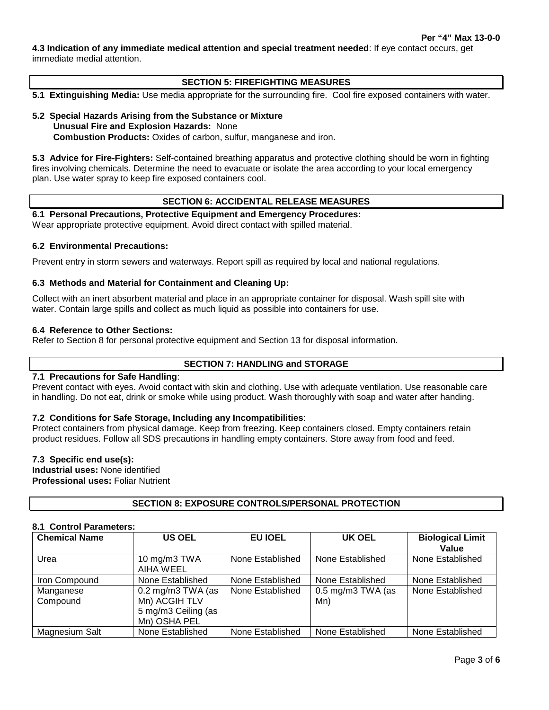**4.3 Indication of any immediate medical attention and special treatment needed**: If eye contact occurs, get immediate medial attention.

# **SECTION 5: FIREFIGHTING MEASURES**

**5.1 Extinguishing Media:** Use media appropriate for the surrounding fire. Cool fire exposed containers with water.

#### **5.2 Special Hazards Arising from the Substance or Mixture Unusual Fire and Explosion Hazards:** None **Combustion Products:** Oxides of carbon, sulfur, manganese and iron.

**5.3 Advice for Fire-Fighters:** Self-contained breathing apparatus and protective clothing should be worn in fighting fires involving chemicals. Determine the need to evacuate or isolate the area according to your local emergency plan. Use water spray to keep fire exposed containers cool.

### **SECTION 6: ACCIDENTAL RELEASE MEASURES**

**6.1 Personal Precautions, Protective Equipment and Emergency Procedures:** 

Wear appropriate protective equipment. Avoid direct contact with spilled material.

### **6.2 Environmental Precautions:**

Prevent entry in storm sewers and waterways. Report spill as required by local and national regulations.

# **6.3 Methods and Material for Containment and Cleaning Up:**

Collect with an inert absorbent material and place in an appropriate container for disposal. Wash spill site with water. Contain large spills and collect as much liquid as possible into containers for use.

### **6.4 Reference to Other Sections:**

Refer to Section 8 for personal protective equipment and Section 13 for disposal information.

# **SECTION 7: HANDLING and STORAGE**

#### **7.1 Precautions for Safe Handling**:

Prevent contact with eyes. Avoid contact with skin and clothing. Use with adequate ventilation. Use reasonable care in handling. Do not eat, drink or smoke while using product. Wash thoroughly with soap and water after handing.

# **7.2 Conditions for Safe Storage, Including any Incompatibilities**:

Protect containers from physical damage. Keep from freezing. Keep containers closed. Empty containers retain product residues. Follow all SDS precautions in handling empty containers. Store away from food and feed.

### **7.3 Specific end use(s):**

**Industrial uses:** None identified **Professional uses:** Foliar Nutrient

# **SECTION 8: EXPOSURE CONTROLS/PERSONAL PROTECTION**

# **8.1 Control Parameters:**

| <b>Chemical Name</b>  | <b>US OEL</b>                                                                               | <b>EU IOEL</b>   | UK OEL                              | <b>Biological Limit</b><br>Value |
|-----------------------|---------------------------------------------------------------------------------------------|------------------|-------------------------------------|----------------------------------|
| Urea                  | 10 mg/m3 TWA<br>AIHA WEEL                                                                   | None Established | None Established                    | None Established                 |
| Iron Compound         | None Established                                                                            | None Established | None Established                    | None Established                 |
| Manganese<br>Compound | $0.2 \text{ mg/m}3 \text{ TWA}$ (as<br>Mn) ACGIH TLV<br>5 mg/m3 Ceiling (as<br>Mn) OSHA PEL | None Established | $0.5 \text{ mg/m}$ 3 TWA (as<br>Mn) | None Established                 |
| Magnesium Salt        | None Established                                                                            | None Established | None Established                    | None Established                 |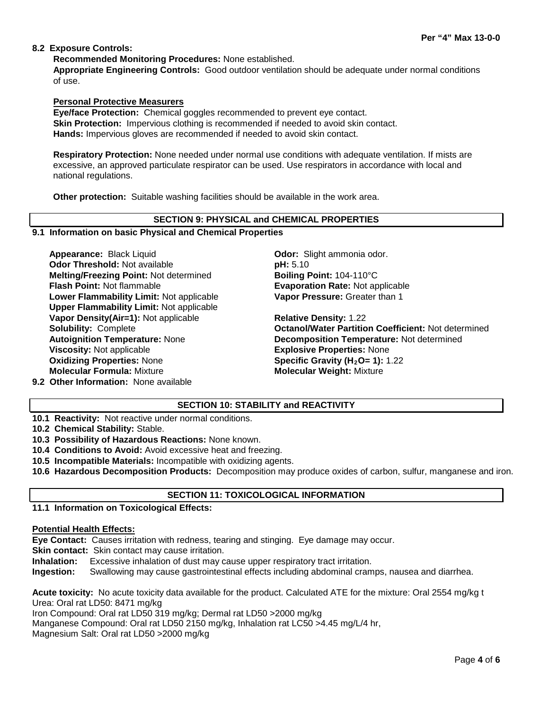# **8.2 Exposure Controls:**

**Recommended Monitoring Procedures:** None established.

**Appropriate Engineering Controls:** Good outdoor ventilation should be adequate under normal conditions of use.

# **Personal Protective Measurers**

**Eye/face Protection:** Chemical goggles recommended to prevent eye contact. **Skin Protection:** Impervious clothing is recommended if needed to avoid skin contact. **Hands:** Impervious gloves are recommended if needed to avoid skin contact.

**Respiratory Protection:** None needed under normal use conditions with adequate ventilation. If mists are excessive, an approved particulate respirator can be used. Use respirators in accordance with local and national regulations.

**Other protection:** Suitable washing facilities should be available in the work area.

### **SECTION 9: PHYSICAL and CHEMICAL PROPERTIES**

# **9.1 Information on basic Physical and Chemical Properties**

**Appearance:** Black Liquid **Constanting Constanting Odor:** Slight ammonia odor. **Odor Threshold:** Not available **pH: 5.10 Melting/Freezing Point:** Not determined **Boiling Point:** 104-110°C **Flash Point:** Not flammable **Evaporation Rate:** Not applicable **Lower Flammability Limit:** Not applicable **Upper Flammability Limit:** Not applicable **Vapor Density(Air=1):** Not applicable **Relative Density:** 1.22 **Viscosity:** Not applicable **Explosive Properties:** None **Oxidizing Properties:** None **Specific Gravity (H2O= 1):** 1.22 **Molecular Formula:** Mixture **Molecular Weight:** Mixture

**Vapor Pressure:** Greater than 1

**Solubility:** Complete **Octanol/Water Partition Coefficient:** Not determined **Autoignition Temperature:** None **Decomposition Temperature:** Not determined

**9.2 Other Information:** None available

# **SECTION 10: STABILITY and REACTIVITY**

**10.1 Reactivity:** Not reactive under normal conditions.

**10.2 Chemical Stability:** Stable.

**10.3 Possibility of Hazardous Reactions:** None known.

**10.4 Conditions to Avoid:** Avoid excessive heat and freezing.

**10.5 Incompatible Materials:** Incompatible with oxidizing agents.

**10.6 Hazardous Decomposition Products:** Decomposition may produce oxides of carbon, sulfur, manganese and iron.

# **SECTION 11: TOXICOLOGICAL INFORMATION**

# **11.1 Information on Toxicological Effects:**

#### **Potential Health Effects:**

**Eye Contact:** Causes irritation with redness, tearing and stinging. Eye damage may occur.

**Skin contact:** Skin contact may cause irritation.

**Inhalation:** Excessive inhalation of dust may cause upper respiratory tract irritation.

**Ingestion:** Swallowing may cause gastrointestinal effects including abdominal cramps, nausea and diarrhea.

**Acute toxicity:** No acute toxicity data available for the product. Calculated ATE for the mixture: Oral 2554 mg/kg t Urea: Oral rat LD50: 8471 mg/kg

Iron Compound: Oral rat LD50 319 mg/kg; Dermal rat LD50 >2000 mg/kg

Manganese Compound: Oral rat LD50 2150 mg/kg, Inhalation rat LC50 >4.45 mg/L/4 hr,

Magnesium Salt: Oral rat LD50 >2000 mg/kg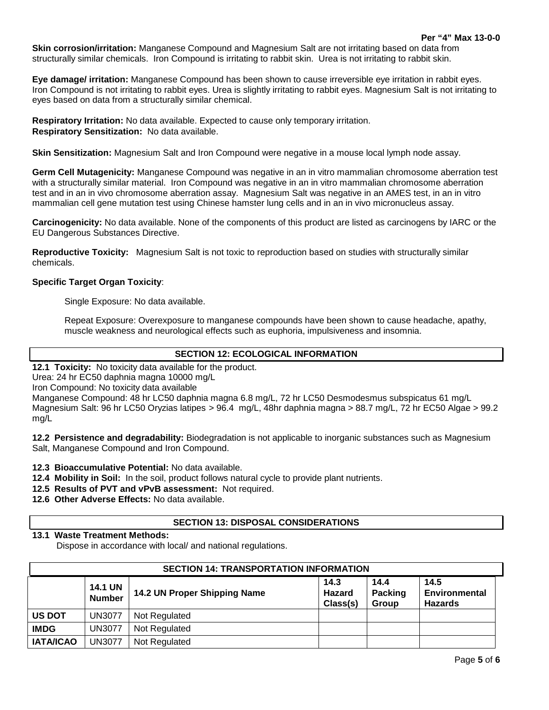**Skin corrosion/irritation:** Manganese Compound and Magnesium Salt are not irritating based on data from structurally similar chemicals. Iron Compound is irritating to rabbit skin. Urea is not irritating to rabbit skin.

**Eye damage/ irritation:** Manganese Compound has been shown to cause irreversible eye irritation in rabbit eyes. Iron Compound is not irritating to rabbit eyes. Urea is slightly irritating to rabbit eyes. Magnesium Salt is not irritating to eyes based on data from a structurally similar chemical.

**Respiratory Irritation:** No data available. Expected to cause only temporary irritation. **Respiratory Sensitization:** No data available.

**Skin Sensitization:** Magnesium Salt and Iron Compound were negative in a mouse local lymph node assay.

**Germ Cell Mutagenicity:** Manganese Compound was negative in an in vitro mammalian chromosome aberration test with a structurally similar material. Iron Compound was negative in an in vitro mammalian chromosome aberration test and in an in vivo chromosome aberration assay. Magnesium Salt was negative in an AMES test, in an in vitro mammalian cell gene mutation test using Chinese hamster lung cells and in an in vivo micronucleus assay.

**Carcinogenicity:** No data available. None of the components of this product are listed as carcinogens by IARC or the EU Dangerous Substances Directive.

**Reproductive Toxicity:** Magnesium Salt is not toxic to reproduction based on studies with structurally similar chemicals.

# **Specific Target Organ Toxicity**:

Single Exposure: No data available.

Repeat Exposure: Overexposure to manganese compounds have been shown to cause headache, apathy, muscle weakness and neurological effects such as euphoria, impulsiveness and insomnia.

# **SECTION 12: ECOLOGICAL INFORMATION**

**12.1 Toxicity:** No toxicity data available for the product.

Urea: 24 hr EC50 daphnia magna 10000 mg/L

Iron Compound: No toxicity data available

Manganese Compound: 48 hr LC50 daphnia magna 6.8 mg/L, 72 hr LC50 Desmodesmus subspicatus 61 mg/L Magnesium Salt: 96 hr LC50 Oryzias latipes > 96.4 mg/L, 48hr daphnia magna > 88.7 mg/L, 72 hr EC50 Algae > 99.2 mg/L

**12.2 Persistence and degradability:** Biodegradation is not applicable to inorganic substances such as Magnesium Salt, Manganese Compound and Iron Compound.

**12.3 Bioaccumulative Potential:** No data available.

**12.4 Mobility in Soil:** In the soil, product follows natural cycle to provide plant nutrients.

**12.5 Results of PVT and vPvB assessment:** Not required.

**12.6 Other Adverse Effects:** No data available.

# **SECTION 13: DISPOSAL CONSIDERATIONS**

# **13.1 Waste Treatment Methods:**

Dispose in accordance with local/ and national regulations.

| <b>SECTION 14: TRANSPORTATION INFORMATION</b> |                                 |                              |                                   |                                 |                                                |  |  |
|-----------------------------------------------|---------------------------------|------------------------------|-----------------------------------|---------------------------------|------------------------------------------------|--|--|
|                                               | <b>14.1 UN</b><br><b>Number</b> | 14.2 UN Proper Shipping Name | 14.3<br><b>Hazard</b><br>Class(s) | 14.4<br><b>Packing</b><br>Group | 14.5<br><b>Environmental</b><br><b>Hazards</b> |  |  |
| <b>US DOT</b>                                 | <b>UN3077</b>                   | Not Regulated                |                                   |                                 |                                                |  |  |
| <b>IMDG</b>                                   | <b>UN3077</b>                   | Not Regulated                |                                   |                                 |                                                |  |  |
| <b>IATA/ICAO</b>                              | <b>UN3077</b>                   | Not Regulated                |                                   |                                 |                                                |  |  |